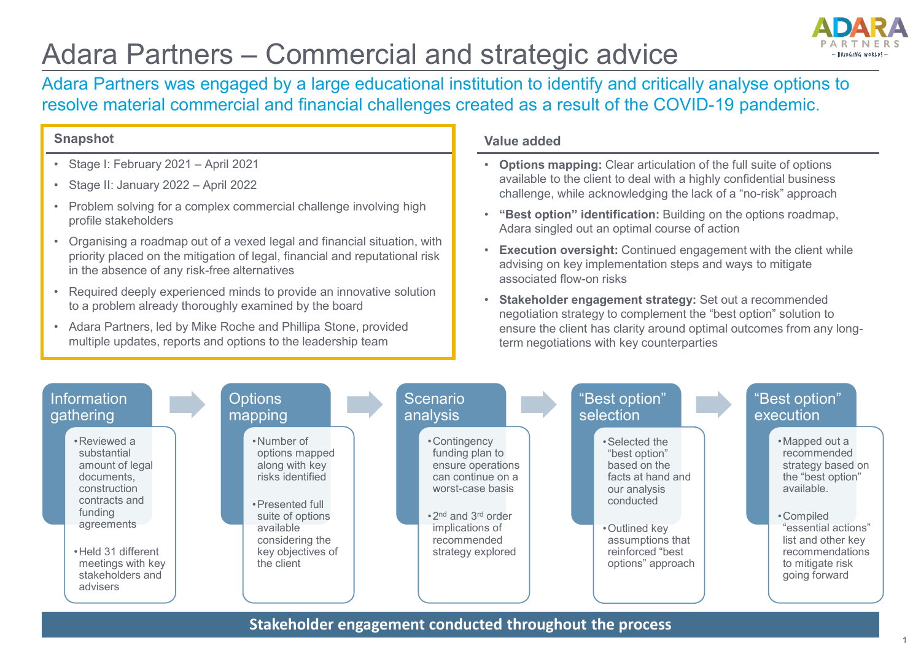## Adara Partners – Commercial and strategic advice



Adara Partners was engaged by a large educational institution to identify and critically analyse options to resolve material commercial and financial challenges created as a result of the COVID-19 pandemic.

## **Snapshot**

- Stage I: February 2021 April 2021
- Stage II: January 2022 April 2022
- Problem solving for a complex commercial challenge involving high profile stakeholders
- Organising a roadmap out of a vexed legal and financial situation, with priority placed on the mitigation of legal, financial and reputational risk in the absence of any risk-free alternatives
- Required deeply experienced minds to provide an innovative solution to a problem already thoroughly examined by the board
- Adara Partners, led by Mike Roche and Phillipa Stone, provided multiple updates, reports and options to the leadership team

## **Value added**

- **Options mapping:** Clear articulation of the full suite of options available to the client to deal with a highly confidential business challenge, while acknowledging the lack of a "no-risk" approach
- **"Best option" identification:** Building on the options roadmap, Adara singled out an optimal course of action
- **Execution oversight:** Continued engagement with the client while advising on key implementation steps and ways to mitigate associated flow-on risks
- **Stakeholder engagement strategy:** Set out a recommended negotiation strategy to complement the "best option" solution to ensure the client has clarity around optimal outcomes from any longterm negotiations with key counterparties



**Stakeholder engagement conducted throughout the process**